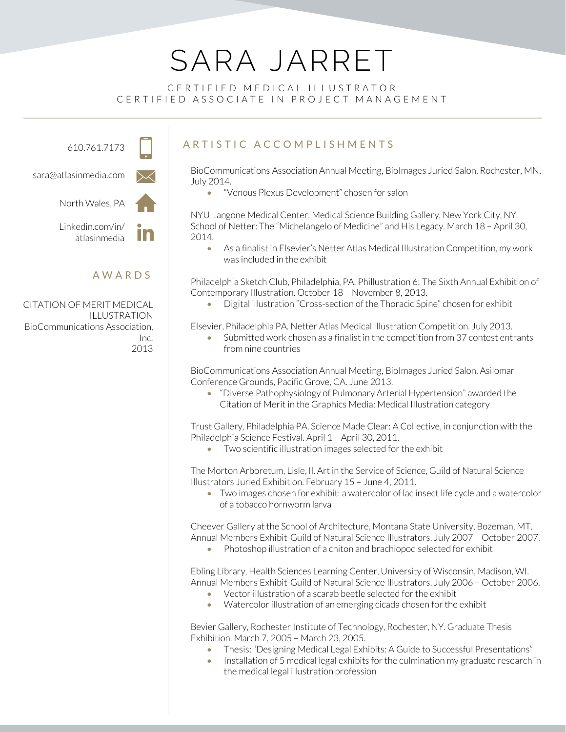# SARA JARRET

### CERTIFIED MEDICAL ILLUSTRATOR CERTIFIED ASSOCIATE IN PROJECT MANAGEMENT

610.761.7173

sara@atlasinmedia.com



North Wales, PA

Linkedin.com/in/ atlasinmedia

In

### AWARDS

CITATION OF MERIT MEDICAL ILLUSTRATION BioCommunications Association, Inc. 2013

## ARTISTIC ACCOMPLISHMENTS

BioCommunications Association Annual Meeting, BioImages Juried Salon, Rochester, MN. July 2014.

• "Venous Plexus Development" chosen for salon

NYU Langone Medical Center, Medical Science Building Gallery, New York City, NY. School of Netter: The "Michelangelo of Medicine" and His Legacy. March 18 – April 30, 2014.

• As a finalist in Elsevier's Netter Atlas Medical Illustration Competition, my work was included in the exhibit

Philadelphia Sketch Club, Philadelphia, PA. Phillustration 6: The Sixth Annual Exhibition of Contemporary Illustration. October 18 – November 8, 2013.

• Digital illustration "Cross-section of the Thoracic Spine" chosen for exhibit

Elsevier, Philadelphia PA. Netter Atlas Medical Illustration Competition. July 2013.

• Submitted work chosen as a finalist in the competition from 37 contest entrants from nine countries

BioCommunications Association Annual Meeting, BioImages Juried Salon. Asilomar Conference Grounds, Pacific Grove, CA. June 2013.

• "Diverse Pathophysiology of Pulmonary Arterial Hypertension" awarded the Citation of Merit in the Graphics Media: Medical Illustration category

Trust Gallery, Philadelphia PA. Science Made Clear: A Collective, in conjunction with the Philadelphia Science Festival. April 1 - April 30, 2011.

• Two scientific illustration images selected for the exhibit

The Morton Arboretum, Lisle, Il. Art in the Service of Science, Guild of Natural Science Illustrators Juried Exhibition. February 15 – June 4, 2011.

• Two images chosen for exhibit: a watercolor of lac insect life cycle and a watercolor of a tobacco hornworm larva

Cheever Gallery at the School of Architecture, Montana State University, Bozeman, MT. Annual Members Exhibit-Guild of Natural Science Illustrators. July 2007 – October 2007.

• Photoshop illustration of a chiton and brachiopod selected for exhibit

Ebling Library, Health Sciences Learning Center, University of Wisconsin, Madison, WI. Annual Members Exhibit-Guild of Natural Science Illustrators. July 2006 – October 2006.

- Vector illustration of a scarab beetle selected for the exhibit
- Watercolor illustration of an emerging cicada chosen for the exhibit

Bevier Gallery, Rochester Institute of Technology, Rochester, NY. Graduate Thesis Exhibition. March 7, 2005 – March 23, 2005.

- Thesis: "Designing Medical Legal Exhibits: A Guide to Successful Presentations"
- Installation of 5 medical legal exhibits for the culmination my graduate research in the medical legal illustration profession